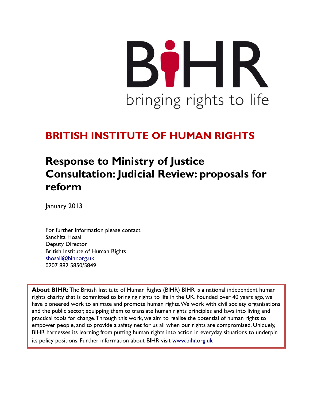# BIHR bringing rights to life

# BRITISH INSTITUTE OF HUMAN RIGHTS

# Response to Ministry of Justice Consultation: Judicial Review: proposals for reform

January 2013

For further information please contact Sanchita Hosali Deputy Director British Institute of Human Rights shosali@bihr.org.uk 0207 882 5850/5849

**About BIHR:** The British Institute of Human Rights (BIHR) BIHR is a national independent human rights charity that is committed to bringing rights to life in the UK. Founded over 40 years ago, we have pioneered work to animate and promote human rights. We work with civil society organisations and the public sector, equipping them to translate human rights principles and laws into living and practical tools for change. Through this work, we aim to realise the potential of human rights to empower people, and to provide a safety net for us all when our rights are compromised. Uniquely, BIHR harnesses its learning from putting human rights into action in everyday situations to underpin its policy positions. Further information about BIHR visit www.bihr.org.uk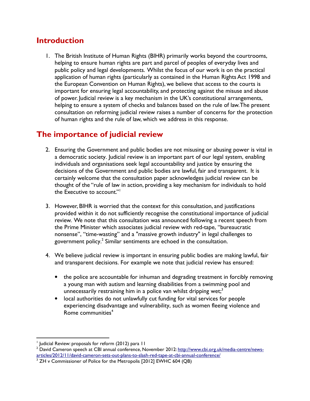#### Introduction

1. The British Institute of Human Rights (BIHR) primarily works beyond the courtrooms, helping to ensure human rights are part and parcel of peoples of everyday lives and public policy and legal developments. Whilst the focus of our work is on the practical application of human rights (particularly as contained in the Human Rights Act 1998 and the European Convention on Human Rights), we believe that access to the courts is important for ensuring legal accountability, and protecting against the misuse and abuse of power. Judicial review is a key mechanism in the UK's constitutional arrangements, helping to ensure a system of checks and balances based on the rule of law. The present consultation on reforming judicial review raises a number of concerns for the protection of human rights and the rule of law, which we address in this response.

## The importance of judicial review

- 2. Ensuring the Government and public bodies are not misusing or abusing power is vital in a democratic society. Judicial review is an important part of our legal system, enabling individuals and organisations seek legal accountability and justice by ensuring the decisions of the Government and public bodies are lawful, fair and transparent. It is certainly welcome that the consultation paper acknowledges judicial review can be thought of the "rule of law in action, providing a key mechanism for individuals to hold the Executive to account."<sup>1</sup>
- 3. However, BIHR is worried that the context for this consultation, and justifications provided within it do not sufficiently recognise the constitutional importance of judicial review. We note that this consultation was announced following a recent speech from the Prime Minister which associates judicial review with red-tape, "bureaucratic nonsense", "time-wasting" and a "massive growth industry" in legal challenges to government policy. $^2$  Similar sentiments are echoed in the consultation.
- 4. We believe judicial review is important in ensuring public bodies are making lawful, fair and transparent decisions. For example we note that judicial review has ensured:
	- the police are accountable for inhuman and degrading treatment in forcibly removing a young man with autism and learning disabilities from a swimming pool and unnecessarily restraining him in a police van whilst dripping wet; $3$
	- local authorities do not unlawfully cut funding for vital services for people experiencing disadvantage and vulnerability, such as women fleeing violence and Rome communities<sup>4</sup>

<sup>&</sup>lt;sup>1</sup> Judicial Review: proposals for reform (2012) para 11

<sup>&</sup>lt;sup>2</sup> David Cameron speech at CBI annual conference, November 2012: <u>http://www.cbi.org.uk/media-centre/news-</u> articles/2012/11/david-cameron-sets-out-plans-to-slash-red-tape-at-cbi-annual-conference/

 $3$  ZH v Commissioner of Police for the Metropolis [2012] EWHC 604 (QB)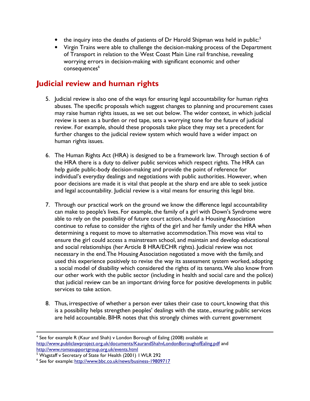- $\bullet$  the inquiry into the deaths of patients of Dr Harold Shipman was held in public:<sup>5</sup>
- Virgin Trains were able to challenge the decision-making process of the Department of Transport in relation to the West Coast Main Line rail franchise, revealing worrying errors in decision-making with significant economic and other consequences<sup>6</sup>

#### Judicial review and human rights

- 5. Judicial review is also one of the ways for ensuring legal accountability for human rights abuses. The specific proposals which suggest changes to planning and procurement cases may raise human rights issues, as we set out below. The wider context, in which judicial review is seen as a burden or red tape, sets a worrying tone for the future of judicial review. For example, should these proposals take place they may set a precedent for further changes to the judicial review system which would have a wider impact on human rights issues.
- 6. The Human Rights Act (HRA) is designed to be a framework law. Through section 6 of the HRA there is a duty to deliver public services which respect rights. The HRA can help guide public-body decision-making and provide the point of reference for individual's everyday dealings and negotiations with public authorities. However, when poor decisions are made it is vital that people at the sharp end are able to seek justice and legal accountability. Judicial review is a vital means for ensuring this legal bite.
- 7. Through our practical work on the ground we know the difference legal accountability can make to people's lives. For example, the family of a girl with Down's Syndrome were able to rely on the possibility of future court action, should a Housing Association continue to refuse to consider the rights of the girl and her family under the HRA when determining a request to move to alternative accommodation. This move was vital to ensure the girl could access a mainstream school, and maintain and develop educational and social relationships (her Article 8 HRA/ECHR rights). Judicial review was not necessary in the end. The Housing Association negotiated a move with the family, and used this experience positively to revise the way its assessment system worked, adopting a social model of disability which considered the rights of its tenants. We also know from our other work with the public sector (including in health and social care and the police) that judicial review can be an important driving force for positive developments in public services to take action.
- 8. Thus, irrespective of whether a person ever takes their case to court, knowing that this is a possibility helps strengthen peoples' dealings with the state., ensuring public services are held accountable. BIHR notes that this strongly chimes with current government

<sup>&</sup>lt;sup>4</sup> See for example R (Kaur and Shah) v London Borough of Ealing (2008) available at http://www.publiclawproject.org.uk/documents/KaurandShahvLondonBoroughofEaling.pdf and http://www.romasupportgroup.org.uk/events.html

<sup>&</sup>lt;sup>5</sup> Wagstaff v Secretary of State for Health (2001) I WLR 292

<sup>&</sup>lt;sup>6</sup> See for example: http://www.bbc.co.uk/news/business-19809717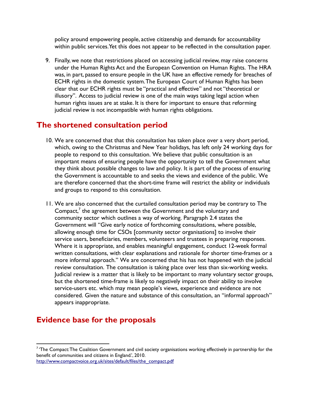policy around empowering people, active citizenship and demands for accountability within public services. Yet this does not appear to be reflected in the consultation paper.

9. Finally, we note that restrictions placed on accessing judicial review, may raise concerns under the Human Rights Act and the European Convention on Human Rights. The HRA was, in part, passed to ensure people in the UK have an effective remedy for breaches of ECHR rights in the domestic system. The European Court of Human Rights has been clear that our ECHR rights must be "practical and effective" and not "theoretical or illusory". Access to judicial review is one of the main ways taking legal action when human rights issues are at stake. It is there for important to ensure that reforming judicial review is not incompatible with human rights obligations.

#### The shortened consultation period

- 10. We are concerned that that this consultation has taken place over a very short period, which, owing to the Christmas and New Year holidays, has left only 24 working days for people to respond to this consultation. We believe that public consultation is an important means of ensuring people have the opportunity to tell the Government what they think about possible changes to law and policy. It is part of the process of ensuring the Government is accountable to and seeks the views and evidence of the public. We are therefore concerned that the short-time frame will restrict the ability or individuals and groups to respond to this consultation.
- 11. We are also concerned that the curtailed consultation period may be contrary to The Compact,<sup>7</sup> the agreement between the Government and the voluntary and community sector which outlines a way of working. Paragraph 2.4 states the Government will "Give early notice of forthcoming consultations, where possible, allowing enough time for CSOs [community sector organisations] to involve their service users, beneficiaries, members, volunteers and trustees in preparing responses. Where it is appropriate, and enables meaningful engagement, conduct 12-week formal written consultations, with clear explanations and rationale for shorter time-frames or a more informal approach." We are concerned that his has not happened with the judicial review consultation. The consultation is taking place over less than six-working weeks. Judicial review is a matter that is likely to be important to many voluntary sector groups, but the shortened time-frame is likely to negatively impact on their ability to involve service-users etc. which may mean people's views, experience and evidence are not considered. Given the nature and substance of this consultation, an "informal approach" appears inappropriate.

### Evidence base for the proposals

 $^7$  'The Compact: The Coalition Government and civil society organisations working effectively in partnership for the benefit of communities and citizens in England.', 2010.

http://www.compactvoice.org.uk/sites/default/files/the\_compact.pdf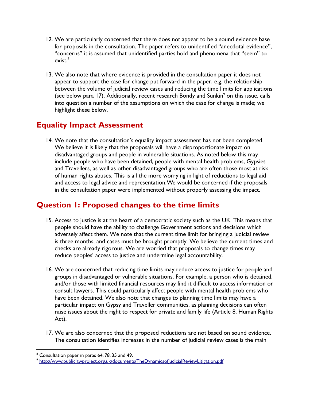- 12. We are particularly concerned that there does not appear to be a sound evidence base for proposals in the consultation. The paper refers to unidentified "anecdotal evidence", "concerns" it is assumed that unidentified parties hold and phenomena that "seem" to exist. $^8\,$
- 13. We also note that where evidence is provided in the consultation paper it does not appear to support the case for change put forward in the paper, e.g. the relationship between the volume of judicial review cases and reducing the time limits for applications (see below para 17). Additionally, recent research Bondy and Sunkin<sup>9</sup> on this issue, calls into question a number of the assumptions on which the case for change is made; we highlight these below.

#### Equality Impact Assessment

14. We note that the consultation's equality impact assessment has not been completed. We believe it is likely that the proposals will have a disproportionate impact on disadvantaged groups and people in vulnerable situations. As noted below this may include people who have been detained, people with mental health problems, Gypsies and Travellers, as well as other disadvantaged groups who are often those most at risk of human rights abuses. This is all the more worrying in light of reductions to legal aid and access to legal advice and representation. We would be concerned if the proposals in the consultation paper were implemented without properly assessing the impact.

#### Question 1: Proposed changes to the time limits

- 15. Access to justice is at the heart of a democratic society such as the UK. This means that people should have the ability to challenge Government actions and decisions which adversely affect them. We note that the current time limit for bringing a judicial review is three months, and cases must be brought promptly. We believe the current times and checks are already rigorous. We are worried that proposals to change times may reduce peoples' access to justice and undermine legal accountability.
- 16. We are concerned that reducing time limits may reduce access to justice for people and groups in disadvantaged or vulnerable situations. For example, a person who is detained, and/or those with limited financial resources may find it difficult to access information or consult lawyers. This could particularly affect people with mental health problems who have been detained. We also note that changes to planning time limits may have a particular impact on Gypsy and Traveller communities, as planning decisions can often raise issues about the right to respect for private and family life (Article 8, Human Rights Act).
- 17. We are also concerned that the proposed reductions are not based on sound evidence. The consultation identifies increases in the number of judicial review cases is the main

<sup>&</sup>lt;sup>8</sup> Consultation paper in paras 64, 78, 35 and 49.

<sup>&</sup>lt;sup>9</sup> http://www.publiclawproject.org.uk/documents/TheDynamicsofJudicialReviewLitigation.pdf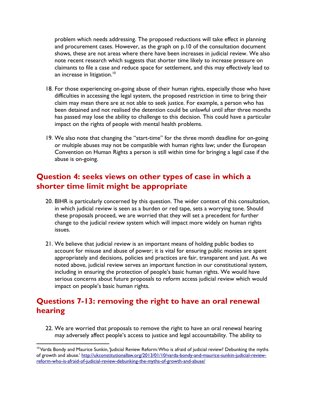problem which needs addressing. The proposed reductions will take effect in planning and procurement cases. However, as the graph on p.10 of the consultation document shows, these are not areas where there have been increases in judicial review. We also note recent research which suggests that shorter time likely to increase pressure on claimants to file a case and reduce space for settlement, and this may effectively lead to an increase in litigation.<sup>10</sup>

- 18. For those experiencing on-going abuse of their human rights, especially those who have difficulties in accessing the legal system, the proposed restriction in time to bring their claim may mean there are at not able to seek justice. For example, a person who has been detained and not realised the detention could be unlawful until after three months has passed may lose the ability to challenge to this decision. This could have a particular impact on the rights of people with mental health problems.
- 19. We also note that changing the "start-time" for the three month deadline for on-going or multiple abuses may not be compatible with human rights law; under the European Convention on Human Rights a person is still within time for bringing a legal case if the abuse is on-going.

#### Question 4: seeks views on other types of case in which a shorter time limit might be appropriate

- 20. BIHR is particularly concerned by this question. The wider context of this consultation, in which judicial review is seen as a burden or red tape, sets a worrying tone. Should these proposals proceed, we are worried that they will set a precedent for further change to the judicial review system which will impact more widely on human rights issues.
- 21. We believe that judicial review is an important means of holding public bodies to account for misuse and abuse of power; it is vital for ensuring public monies are spent appropriately and decisions, policies and practices are fair, transparent and just. As we noted above, judicial review serves an important function in our constitutional system, including in ensuring the protection of people's basic human rights. We would have serious concerns about future proposals to reform access judicial review which would impact on people's basic human rights.

### Questions 7-13: removing the right to have an oral renewal hearing

22. We are worried that proposals to remove the right to have an oral renewal hearing may adversely affect people's access to justice and legal accountability. The ability to

<sup>&</sup>lt;sup>10</sup> Varda Bondy and Maurice Sunkin, 'Judicial Review Reform: Who is afraid of judicial review? Debunking the myths of growth and abuse.' http://ukconstitutionallaw.org/2013/01/10/varda-bondy-and-maurice-sunkin-judicial-reviewreform-who-is-afraid-of-judicial-review-debunking-the-myths-of-growth-and-abuse/